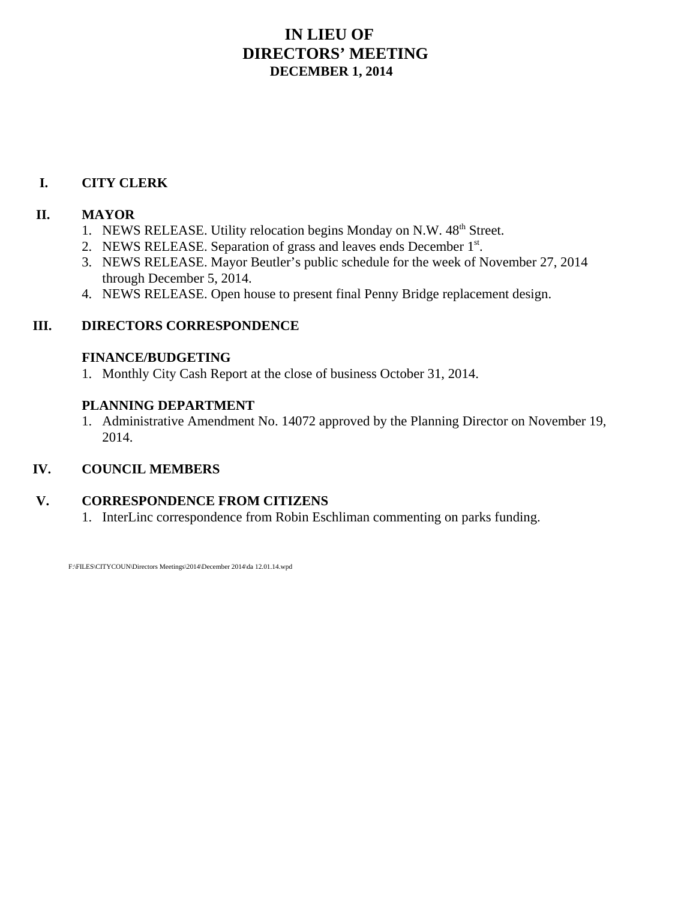## **IN LIEU OF DIRECTORS' MEETING DECEMBER 1, 2014**

#### **I. CITY CLERK**

#### **II. MAYOR**

- 1. NEWS RELEASE. Utility relocation begins Monday on N.W. 48<sup>th</sup> Street.
- 2. NEWS RELEASE. Separation of grass and leaves ends December  $1<sup>st</sup>$ .
- 3. NEWS RELEASE. Mayor Beutler's public schedule for the week of November 27, 2014 through December 5, 2014.
- 4. NEWS RELEASE. Open house to present final Penny Bridge replacement design.

#### **III. DIRECTORS CORRESPONDENCE**

#### **FINANCE/BUDGETING**

1. Monthly City Cash Report at the close of business October 31, 2014.

#### **PLANNING DEPARTMENT**

1. Administrative Amendment No. 14072 approved by the Planning Director on November 19, 2014.

#### **IV. COUNCIL MEMBERS**

#### **V. CORRESPONDENCE FROM CITIZENS**

1. InterLinc correspondence from Robin Eschliman commenting on parks funding.

F:\FILES\CITYCOUN\Directors Meetings\2014\December 2014\da 12.01.14.wpd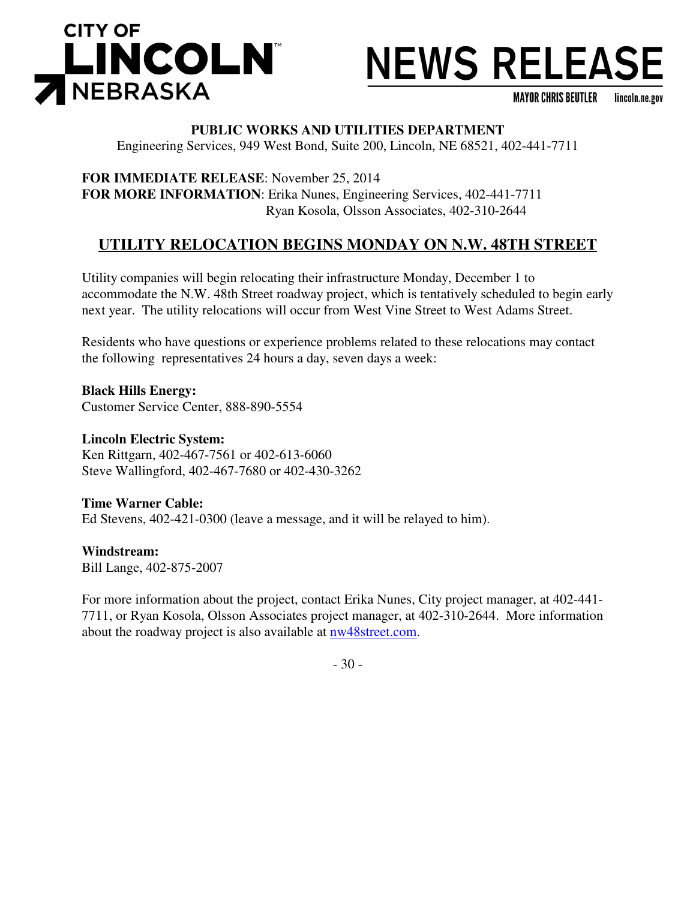

# **NEWS RELEASE**

**MAYOR CHRIS BEUTLER** lincoln.ne.gov

#### **PUBLIC WORKS AND UTILITIES DEPARTMENT**

Engineering Services, 949 West Bond, Suite 200, Lincoln, NE 68521, 402-441-7711

**FOR IMMEDIATE RELEASE**: November 25, 2014 **FOR MORE INFORMATION**: Erika Nunes, Engineering Services, 402-441-7711 Ryan Kosola, Olsson Associates, 402-310-2644

#### **UTILITY RELOCATION BEGINS MONDAY ON N.W. 48TH STREET**

Utility companies will begin relocating their infrastructure Monday, December 1 to accommodate the N.W. 48th Street roadway project, which is tentatively scheduled to begin early next year. The utility relocations will occur from West Vine Street to West Adams Street.

Residents who have questions or experience problems related to these relocations may contact the following representatives 24 hours a day, seven days a week:

**Black Hills Energy:**  Customer Service Center, 888-890-5554

**Lincoln Electric System:**  Ken Rittgarn, 402-467-7561 or 402-613-6060 Steve Wallingford, 402-467-7680 or 402-430-3262

**Time Warner Cable:**  Ed Stevens, 402-421-0300 (leave a message, and it will be relayed to him).

**Windstream:**  Bill Lange, 402-875-2007

For more information about the project, contact Erika Nunes, City project manager, at 402-441- 7711, or Ryan Kosola, Olsson Associates project manager, at 402-310-2644. More information about the roadway project is also available at nw48street.com.

- 30 -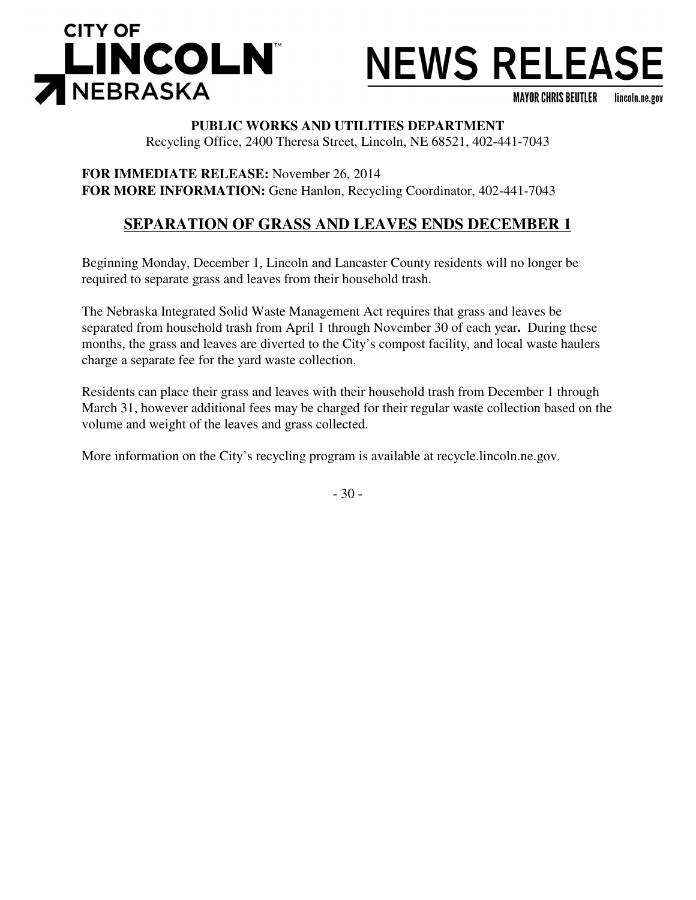

## **NEWS RELEASE**

**MAYOR CHRIS BEUTLER** lincoln.ne.gov

#### **PUBLIC WORKS AND UTILITIES DEPARTMENT**

Recycling Office, 2400 Theresa Street, Lincoln, NE 68521, 402-441-7043

**FOR IMMEDIATE RELEASE:** November 26, 2014 **FOR MORE INFORMATION:** Gene Hanlon, Recycling Coordinator, 402-441-7043

## **SEPARATION OF GRASS AND LEAVES ENDS DECEMBER 1**

Beginning Monday, December 1, Lincoln and Lancaster County residents will no longer be required to separate grass and leaves from their household trash.

The Nebraska Integrated Solid Waste Management Act requires that grass and leaves be separated from household trash from April 1 through November 30 of each year**.** During these months, the grass and leaves are diverted to the City's compost facility, and local waste haulers charge a separate fee for the yard waste collection.

Residents can place their grass and leaves with their household trash from December 1 through March 31, however additional fees may be charged for their regular waste collection based on the volume and weight of the leaves and grass collected.

More information on the City's recycling program is available at recycle.lincoln.ne.gov.

- 30 -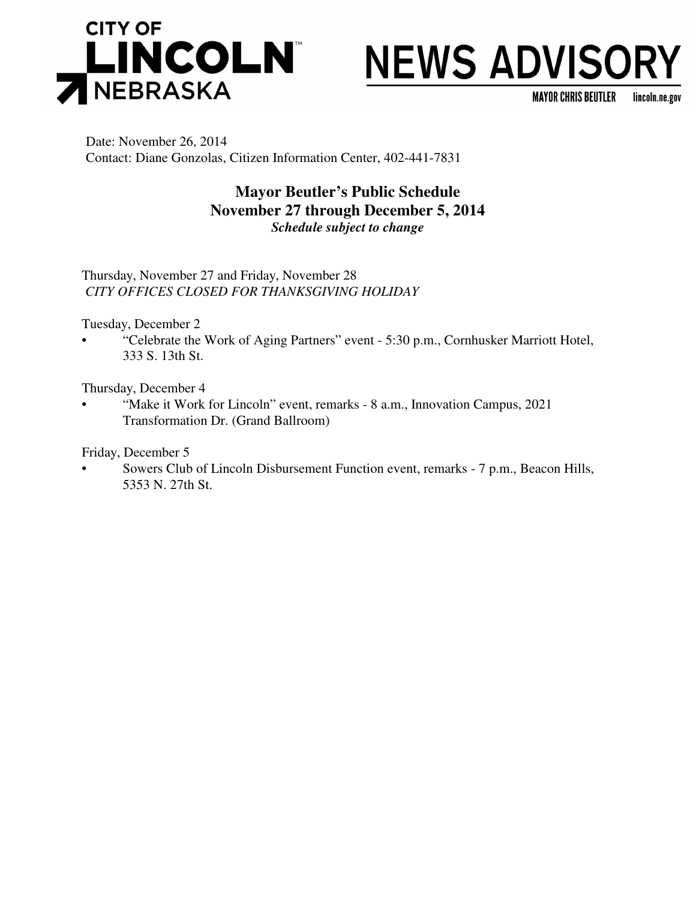

## **NEWS ADVISORY**

**MAYOR CHRIS BEUTLER** lincoln.ne.gov

Date: November 26, 2014 Contact: Diane Gonzolas, Citizen Information Center, 402-441-7831

#### **Mayor Beutler's Public Schedule November 27 through December 5, 2014** *Schedule subject to change*

Thursday, November 27 and Friday, November 28 *CITY OFFICES CLOSED FOR THANKSGIVING HOLIDAY*

Tuesday, December 2

• "Celebrate the Work of Aging Partners" event - 5:30 p.m., Cornhusker Marriott Hotel, 333 S. 13th St.

Thursday, December 4

• "Make it Work for Lincoln" event, remarks - 8 a.m., Innovation Campus, 2021 Transformation Dr. (Grand Ballroom)

Friday, December 5

• Sowers Club of Lincoln Disbursement Function event, remarks - 7 p.m., Beacon Hills, 5353 N. 27th St.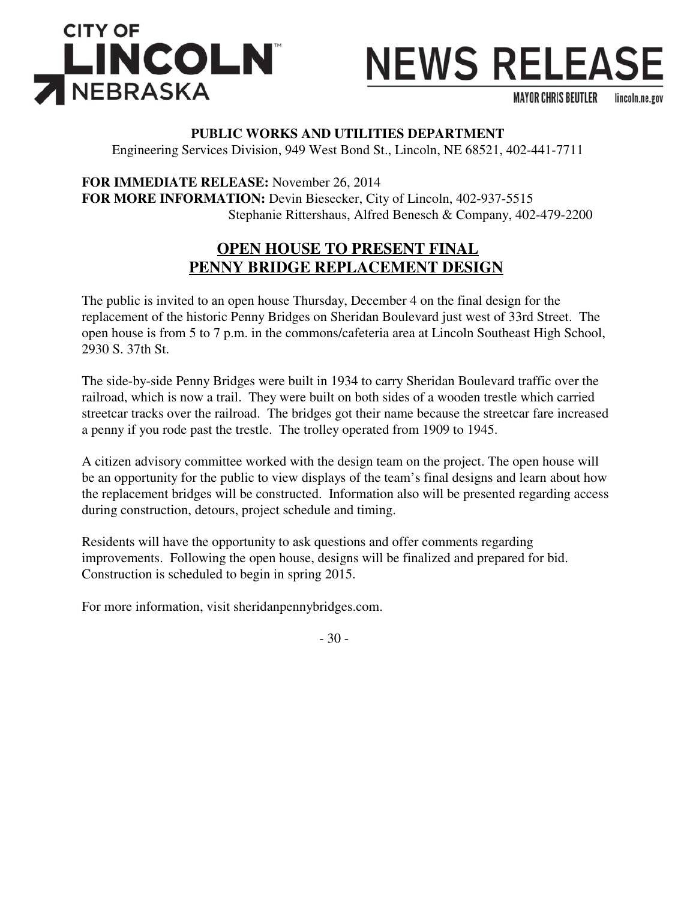

## **NEWS RELEASE**

**MAYOR CHRIS BEUTLER** lincoln.ne.gov

#### **PUBLIC WORKS AND UTILITIES DEPARTMENT**

Engineering Services Division, 949 West Bond St., Lincoln, NE 68521, 402-441-7711

**FOR IMMEDIATE RELEASE:** November 26, 2014 **FOR MORE INFORMATION:** Devin Biesecker, City of Lincoln, 402-937-5515 Stephanie Rittershaus, Alfred Benesch & Company, 402-479-2200

## **OPEN HOUSE TO PRESENT FINAL PENNY BRIDGE REPLACEMENT DESIGN**

The public is invited to an open house Thursday, December 4 on the final design for the replacement of the historic Penny Bridges on Sheridan Boulevard just west of 33rd Street. The open house is from 5 to 7 p.m. in the commons/cafeteria area at Lincoln Southeast High School, 2930 S. 37th St.

The side-by-side Penny Bridges were built in 1934 to carry Sheridan Boulevard traffic over the railroad, which is now a trail. They were built on both sides of a wooden trestle which carried streetcar tracks over the railroad. The bridges got their name because the streetcar fare increased a penny if you rode past the trestle. The trolley operated from 1909 to 1945.

A citizen advisory committee worked with the design team on the project. The open house will be an opportunity for the public to view displays of the team's final designs and learn about how the replacement bridges will be constructed. Information also will be presented regarding access during construction, detours, project schedule and timing.

Residents will have the opportunity to ask questions and offer comments regarding improvements. Following the open house, designs will be finalized and prepared for bid. Construction is scheduled to begin in spring 2015.

For more information, visit sheridanpennybridges.com.

- 30 -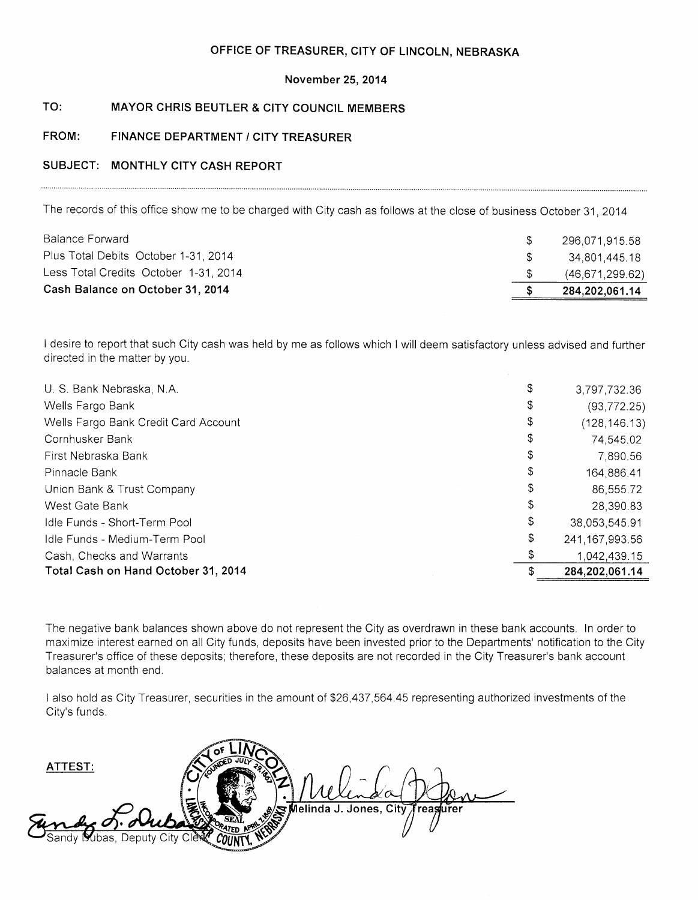#### OFFICE OF TREASURER, CITY OF LINCOLN, NEBRASKA

#### November 25, 2014

#### $TO:$ **MAYOR CHRIS BEUTLER & CITY COUNCIL MEMBERS**

#### FINANCE DEPARTMENT / CITY TREASURER FROM:

#### SUBJECT: MONTHLY CITY CASH REPORT

The records of this office show me to be charged with City cash as follows at the close of business October 31, 2014

I desire to report that such City cash was held by me as follows which I will deem satisfactory unless advised and further directed in the matter by you.

| U. S. Bank Nebraska, N.A.            | \$<br>3,797,732.36     |
|--------------------------------------|------------------------|
| Wells Fargo Bank                     | \$<br>(93, 772.25)     |
| Wells Fargo Bank Credit Card Account | \$<br>(128, 146, 13)   |
| Cornhusker Bank                      | \$<br>74,545.02        |
| First Nebraska Bank                  | \$<br>7,890.56         |
| Pinnacle Bank                        | \$<br>164,886.41       |
| Union Bank & Trust Company           | \$<br>86,555.72        |
| West Gate Bank                       | \$<br>28,390.83        |
| Idle Funds - Short-Term Pool         | \$<br>38,053,545.91    |
| Idle Funds - Medium-Term Pool        | \$<br>241, 167, 993.56 |
| Cash, Checks and Warrants            | 1.042,439.15           |
| Total Cash on Hand October 31, 2014  | 284,202,061.14         |

The negative bank balances shown above do not represent the City as overdrawn in these bank accounts. In order to maximize interest earned on all City funds, deposits have been invested prior to the Departments' notification to the City Treasurer's office of these deposits; therefore, these deposits are not recorded in the City Treasurer's bank account balances at month end.

I also hold as City Treasurer, securities in the amount of \$26,437,564.45 representing authorized investments of the City's funds.

ATTEST: **Melinda J. Jones. Citv** reasurer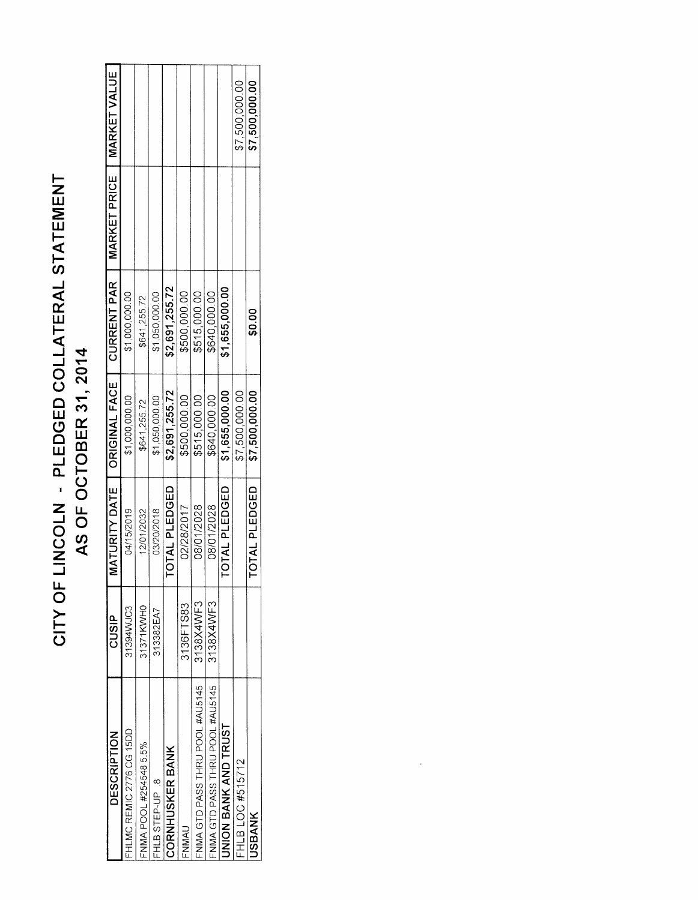# CITY OF LINCOLN - PLEDGED COLLATERAL STATEMENT AS OF OCTOBER 31, 2014

| DESCRIPTION                    | CUSIP     |               | MATURITY DATE   ORIGINAL FACE   CURRENT PAR |                | MARKET PRICE   MARKET VALUE |                |
|--------------------------------|-----------|---------------|---------------------------------------------|----------------|-----------------------------|----------------|
| HLMC REMIC 2776 CG 15DD        | 31394WJC3 | 04/15/2019    | \$1,000,000.00                              | \$1,000,000.00 |                             |                |
| NMA POOL #254548 5.5%          | 31371KWH0 | 12/01/2032    | \$641,255.72                                | \$641,255.72   |                             |                |
| HLB STEP-UP .8                 | 313382EA7 | 03/20/2018    | \$1,050,000.00                              | \$1,050,000.00 |                             |                |
| <b>CORNHUSKER BANK</b>         |           | TOTAL PLEDGED | \$2,691,255.72                              | \$2,691,255.72 |                             |                |
| <b>UMWN</b>                    | 3136FTS83 | 02/28/2017    | \$500,000.00                                | \$500,000.00   |                             |                |
| NMA GTD PASS THRU POOL #AU5145 | 3138X4WF3 | 08/01/2028    | \$515,000.00                                | \$515,000.00   |                             |                |
| NMA GTD PASS THRU POOL #AU5145 | 3138X4WF3 | 08/01/2028    | \$640,000.00                                | \$640,000.00   |                             |                |
| <b>INION BANK AND TRUST</b>    |           | TOTAL PLEDGED | \$1,655,000.00                              | \$1,655,000.00 |                             |                |
| FHLB LOC #515712               |           |               | \$7,500,000.00                              |                |                             | \$7,500,000.00 |
| <b>JSBANK</b>                  |           | TOTAL PLEDGED | \$7,500,000.00                              | \$0.00         |                             | \$7,500,000.00 |
|                                |           |               |                                             |                |                             |                |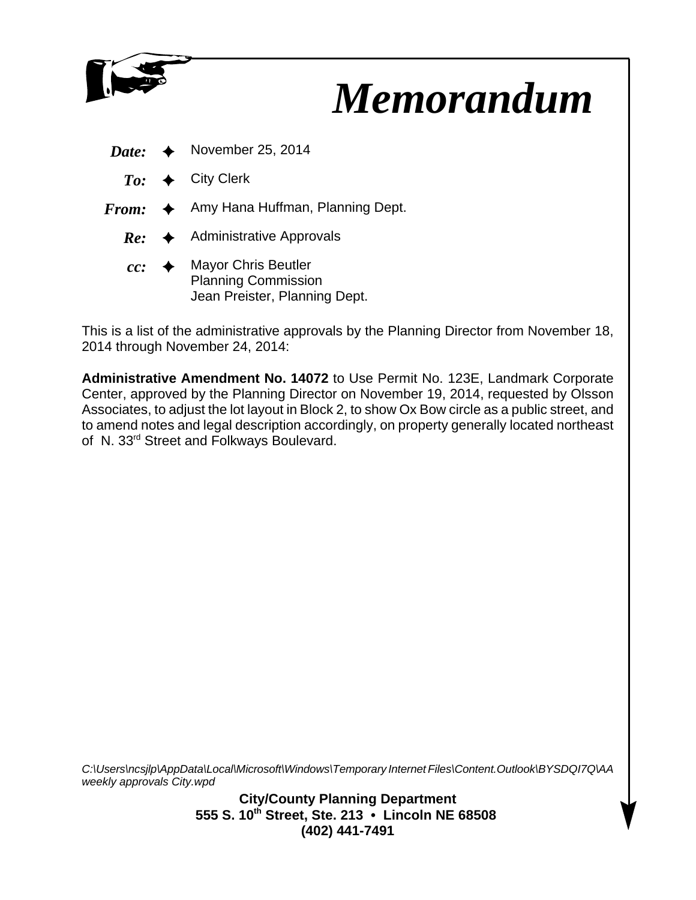

## *Memorandum*

- *Date:*  $\leftrightarrow$  November 25, 2014
	- $To: \leftrightarrow$  City Clerk
- $From: \leftrightarrow$  Amy Hana Huffman, Planning Dept.
	- $Re: \rightarrow$  Administrative Approvals
	- $cc:$   $\rightarrow$  Mayor Chris Beutler Planning Commission Jean Preister, Planning Dept.

This is a list of the administrative approvals by the Planning Director from November 18, 2014 through November 24, 2014:

**Administrative Amendment No. 14072** to Use Permit No. 123E, Landmark Corporate Center, approved by the Planning Director on November 19, 2014, requested by Olsson Associates, to adjust the lot layout in Block 2, to show Ox Bow circle as a public street, and to amend notes and legal description accordingly, on property generally located northeast of N. 33<sup>rd</sup> Street and Folkways Boulevard.

*C:\Users\ncsjlp\AppData\Local\Microsoft\Windows\Temporary Internet Files\Content.Outlook\BYSDQI7Q\AA weekly approvals City.wpd*

> **City/County Planning Department 555 S. 10th Street, Ste. 213 • Lincoln NE 68508 (402) 441-7491**